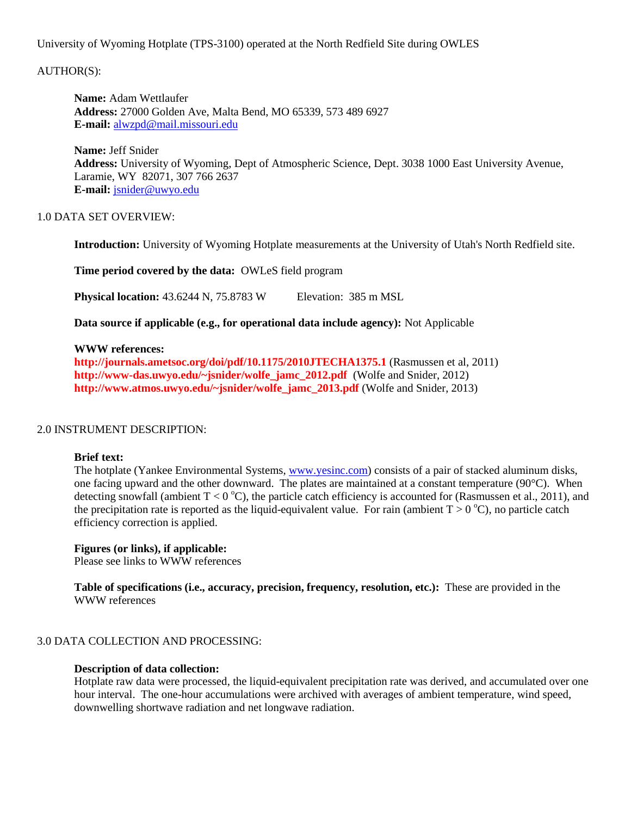## University of Wyoming Hotplate (TPS-3100) operated at the North Redfield Site during OWLES

# AUTHOR(S):

**Name:** Adam Wettlaufer **Address:** 27000 Golden Ave, Malta Bend, MO 65339, 573 489 6927 **E-mail:** [alwzpd@mail.missouri.edu](mailto:alwzpd@mail.missouri.edu)

**Name:** Jeff Snider **Address:** University of Wyoming, Dept of Atmospheric Science, Dept. 3038 1000 East University Avenue, Laramie, WY 82071, 307 766 2637 **E-mail:** [jsnider@uwyo.edu](mailto:jsnider@uwyo.edu)

## 1.0 DATA SET OVERVIEW:

**Introduction:** University of Wyoming Hotplate measurements at the University of Utah's North Redfield site.

**Time period covered by the data:** OWLeS field program

**Physical location:** 43.6244 N, 75.8783 W Elevation: 385 m MSL

**Data source if applicable (e.g., for operational data include agency):** Not Applicable

### **WWW references:**

**<http://journals.ametsoc.org/doi/pdf/10.1175/2010JTECHA1375.1>** (Rasmussen et al, 2011) **[http://www-das.uwyo.edu/~jsnider/wolfe\\_jamc\\_2012.pdf](http://www-das.uwyo.edu/~jsnider/wolfe_jamc_2012.pdf)** (Wolfe and Snider, 2012) **[http://www.atmos.uwyo.edu/~jsnider/wolfe\\_jamc\\_2013.pdf](http://www.atmos.uwyo.edu/~jsnider/wolfe_jamc_2013.pdf)** (Wolfe and Snider, 2013)

#### 2.0 INSTRUMENT DESCRIPTION:

#### **Brief text:**

The hotplate (Yankee Environmental Systems, [www.yesinc.com\)](http://www.yesinc.com/) consists of a pair of stacked aluminum disks, one facing upward and the other downward. The plates are maintained at a constant temperature (90°C). When detecting snowfall (ambient  $T < 0^{\circ}C$ ), the particle catch efficiency is accounted for (Rasmussen et al., 2011), and the precipitation rate is reported as the liquid-equivalent value. For rain (ambient  $T > 0^{\circ}C$ ), no particle catch efficiency correction is applied.

## **Figures (or links), if applicable:**

Please see links to WWW references

**Table of specifications (i.e., accuracy, precision, frequency, resolution, etc.):** These are provided in the WWW references

## 3.0 DATA COLLECTION AND PROCESSING:

#### **Description of data collection:**

Hotplate raw data were processed, the liquid-equivalent precipitation rate was derived, and accumulated over one hour interval. The one-hour accumulations were archived with averages of ambient temperature, wind speed, downwelling shortwave radiation and net longwave radiation.